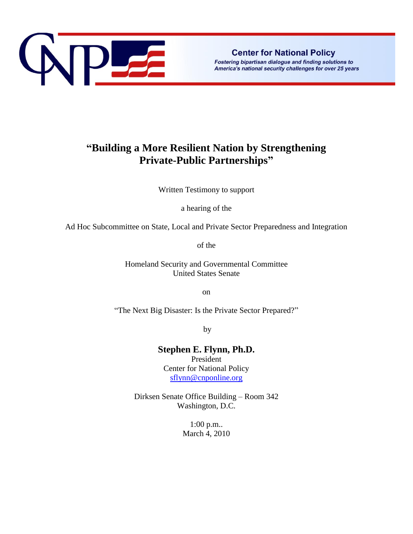

Fostering bipartisan dialogue and finding solutions to America's national security challenges for over 25 years

## **"Building a More Resilient Nation by Strengthening Private-Public Partnerships"**

Written Testimony to support

a hearing of the

Ad Hoc Subcommittee on State, Local and Private Sector Preparedness and Integration

of the

Homeland Security and Governmental Committee United States Senate

on

"The Next Big Disaster: Is the Private Sector Prepared?"

by

**Stephen E. Flynn, Ph.D.**

President Center for National Policy [sflynn@cnponline.org](mailto:sflynn@cnponline.org)

Dirksen Senate Office Building – Room 342 Washington, D.C.

> 1:00 p.m.. March 4, 2010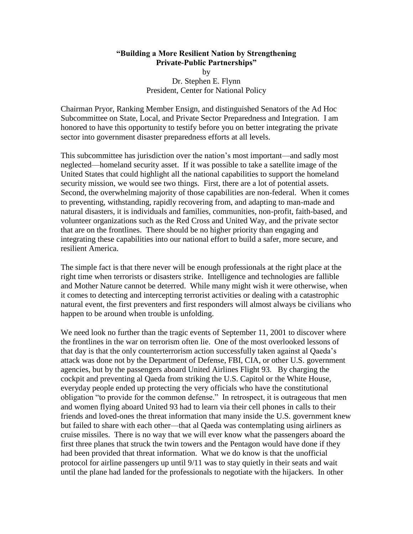## **"Building a More Resilient Nation by Strengthening Private-Public Partnerships"** by Dr. Stephen E. Flynn President, Center for National Policy

Chairman Pryor, Ranking Member Ensign, and distinguished Senators of the Ad Hoc Subcommittee on State, Local, and Private Sector Preparedness and Integration. I am honored to have this opportunity to testify before you on better integrating the private sector into government disaster preparedness efforts at all levels.

This subcommittee has jurisdiction over the nation's most important—and sadly most neglected—homeland security asset. If it was possible to take a satellite image of the United States that could highlight all the national capabilities to support the homeland security mission, we would see two things. First, there are a lot of potential assets. Second, the overwhelming majority of those capabilities are non-federal. When it comes to preventing, withstanding, rapidly recovering from, and adapting to man-made and natural disasters, it is individuals and families, communities, non-profit, faith-based, and volunteer organizations such as the Red Cross and United Way, and the private sector that are on the frontlines. There should be no higher priority than engaging and integrating these capabilities into our national effort to build a safer, more secure, and resilient America.

The simple fact is that there never will be enough professionals at the right place at the right time when terrorists or disasters strike. Intelligence and technologies are fallible and Mother Nature cannot be deterred. While many might wish it were otherwise, when it comes to detecting and intercepting terrorist activities or dealing with a catastrophic natural event, the first preventers and first responders will almost always be civilians who happen to be around when trouble is unfolding.

We need look no further than the tragic events of September 11, 2001 to discover where the frontlines in the war on terrorism often lie. One of the most overlooked lessons of that day is that the only counterterrorism action successfully taken against al Qaeda's attack was done not by the Department of Defense, FBI, CIA, or other U.S. government agencies, but by the passengers aboard United Airlines Flight 93. By charging the cockpit and preventing al Qaeda from striking the U.S. Capitol or the White House, everyday people ended up protecting the very officials who have the constitutional obligation "to provide for the common defense." In retrospect, it is outrageous that men and women flying aboard United 93 had to learn via their cell phones in calls to their friends and loved-ones the threat information that many inside the U.S. government knew but failed to share with each other—that al Qaeda was contemplating using airliners as cruise missiles. There is no way that we will ever know what the passengers aboard the first three planes that struck the twin towers and the Pentagon would have done if they had been provided that threat information. What we do know is that the unofficial protocol for airline passengers up until 9/11 was to stay quietly in their seats and wait until the plane had landed for the professionals to negotiate with the hijackers. In other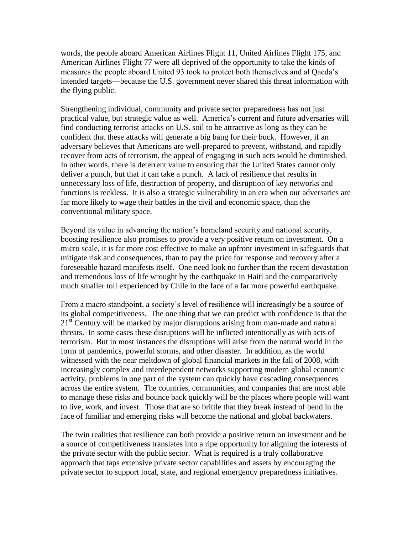words, the people aboard American Airlines Flight 11, United Airlines Flight 175, and American Airlines Flight 77 were all deprived of the opportunity to take the kinds of measures the people aboard United 93 took to protect both themselves and al Qaeda's intended targets—because the U.S. government never shared this threat information with the flying public.

Strengthening individual, community and private sector preparedness has not just practical value, but strategic value as well. America's current and future adversaries will find conducting terrorist attacks on U.S. soil to be attractive as long as they can be confident that these attacks will generate a big bang for their buck. However, if an adversary believes that Americans are well-prepared to prevent, withstand, and rapidly recover from acts of terrorism, the appeal of engaging in such acts would be diminished. In other words, there is deterrent value to ensuring that the United States cannot only deliver a punch, but that it can take a punch. A lack of resilience that results in unnecessary loss of life, destruction of property, and disruption of key networks and functions is reckless. It is also a strategic vulnerability in an era when our adversaries are far more likely to wage their battles in the civil and economic space, than the conventional military space.

Beyond its value in advancing the nation's homeland security and national security, boosting resilience also promises to provide a very positive return on investment. On a micro scale, it is far more cost effective to make an upfront investment in safeguards that mitigate risk and consequences, than to pay the price for response and recovery after a foreseeable hazard manifests itself. One need look no further than the recent devastation and tremendous loss of life wrought by the earthquake in Haiti and the comparatively much smaller toll experienced by Chile in the face of a far more powerful earthquake.

From a macro standpoint, a society's level of resilience will increasingly be a source of its global competitiveness. The one thing that we can predict with confidence is that the  $21<sup>st</sup>$  Century will be marked by major disruptions arising from man-made and natural threats. In some cases these disruptions will be inflicted intentionally as with acts of terrorism. But in most instances the disruptions will arise from the natural world in the form of pandemics, powerful storms, and other disaster. In addition, as the world witnessed with the near meltdown of global financial markets in the fall of 2008, with increasingly complex and interdependent networks supporting modern global economic activity, problems in one part of the system can quickly have cascading consequences across the entire system. The countries, communities, and companies that are most able to manage these risks and bounce back quickly will be the places where people will want to live, work, and invest. Those that are so brittle that they break instead of bend in the face of familiar and emerging risks will become the national and global backwaters.

The twin realities that resilience can both provide a positive return on investment and be a source of competitiveness translates into a ripe opportunity for aligning the interests of the private sector with the public sector. What is required is a truly collaborative approach that taps extensive private sector capabilities and assets by encouraging the private sector to support local, state, and regional emergency preparedness initiatives.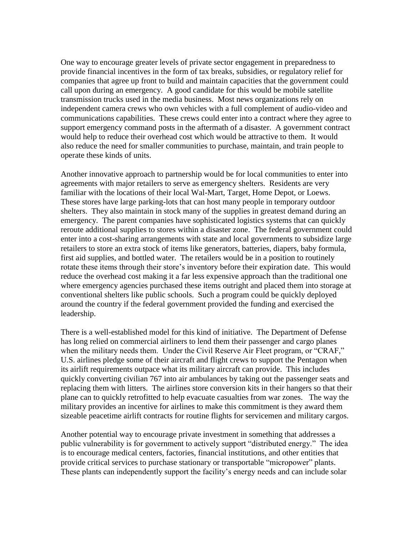One way to encourage greater levels of private sector engagement in preparedness to provide financial incentives in the form of tax breaks, subsidies, or regulatory relief for companies that agree up front to build and maintain capacities that the government could call upon during an emergency. A good candidate for this would be mobile satellite transmission trucks used in the media business. Most news organizations rely on independent camera crews who own vehicles with a full complement of audio-video and communications capabilities. These crews could enter into a contract where they agree to support emergency command posts in the aftermath of a disaster. A government contract would help to reduce their overhead cost which would be attractive to them. It would also reduce the need for smaller communities to purchase, maintain, and train people to operate these kinds of units.

Another innovative approach to partnership would be for local communities to enter into agreements with major retailers to serve as emergency shelters. Residents are very familiar with the locations of their local Wal-Mart, Target, Home Depot, or Loews. These stores have large parking-lots that can host many people in temporary outdoor shelters. They also maintain in stock many of the supplies in greatest demand during an emergency. The parent companies have sophisticated logistics systems that can quickly reroute additional supplies to stores within a disaster zone. The federal government could enter into a cost-sharing arrangements with state and local governments to subsidize large retailers to store an extra stock of items like generators, batteries, diapers, baby formula, first aid supplies, and bottled water. The retailers would be in a position to routinely rotate these items through their store's inventory before their expiration date. This would reduce the overhead cost making it a far less expensive approach than the traditional one where emergency agencies purchased these items outright and placed them into storage at conventional shelters like public schools. Such a program could be quickly deployed around the country if the federal government provided the funding and exercised the leadership.

There is a well-established model for this kind of initiative. The Department of Defense has long relied on commercial airliners to lend them their passenger and cargo planes when the military needs them. Under the Civil Reserve Air Fleet program, or "CRAF," U.S. airlines pledge some of their aircraft and flight crews to support the Pentagon when its airlift requirements outpace what its military aircraft can provide. This includes quickly converting civilian 767 into air ambulances by taking out the passenger seats and replacing them with litters. The airlines store conversion kits in their hangers so that their plane can to quickly retrofitted to help evacuate casualties from war zones. The way the military provides an incentive for airlines to make this commitment is they award them sizeable peacetime airlift contracts for routine flights for servicemen and military cargos.

Another potential way to encourage private investment in something that addresses a public vulnerability is for government to actively support "distributed energy." The idea is to encourage medical centers, factories, financial institutions, and other entities that provide critical services to purchase stationary or transportable "micropower" plants. These plants can independently support the facility's energy needs and can include solar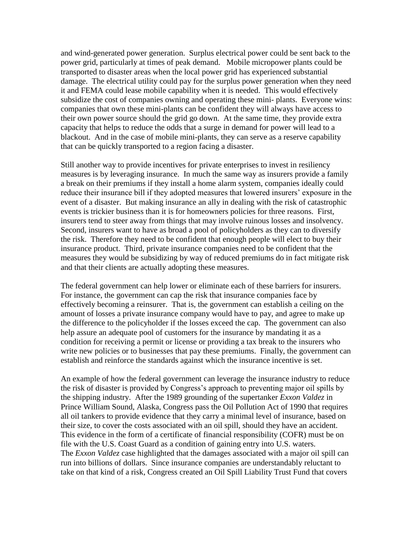and wind-generated power generation. Surplus electrical power could be sent back to the power grid, particularly at times of peak demand. Mobile micropower plants could be transported to disaster areas when the local power grid has experienced substantial damage. The electrical utility could pay for the surplus power generation when they need it and FEMA could lease mobile capability when it is needed. This would effectively subsidize the cost of companies owning and operating these mini- plants. Everyone wins: companies that own these mini-plants can be confident they will always have access to their own power source should the grid go down. At the same time, they provide extra capacity that helps to reduce the odds that a surge in demand for power will lead to a blackout. And in the case of mobile mini-plants, they can serve as a reserve capability that can be quickly transported to a region facing a disaster.

Still another way to provide incentives for private enterprises to invest in resiliency measures is by leveraging insurance. In much the same way as insurers provide a family a break on their premiums if they install a home alarm system, companies ideally could reduce their insurance bill if they adopted measures that lowered insurers' exposure in the event of a disaster. But making insurance an ally in dealing with the risk of catastrophic events is trickier business than it is for homeowners policies for three reasons. First, insurers tend to steer away from things that may involve ruinous losses and insolvency. Second, insurers want to have as broad a pool of policyholders as they can to diversify the risk. Therefore they need to be confident that enough people will elect to buy their insurance product. Third, private insurance companies need to be confident that the measures they would be subsidizing by way of reduced premiums do in fact mitigate risk and that their clients are actually adopting these measures.

The federal government can help lower or eliminate each of these barriers for insurers. For instance, the government can cap the risk that insurance companies face by effectively becoming a reinsurer. That is, the government can establish a ceiling on the amount of losses a private insurance company would have to pay, and agree to make up the difference to the policyholder if the losses exceed the cap. The government can also help assure an adequate pool of customers for the insurance by mandating it as a condition for receiving a permit or license or providing a tax break to the insurers who write new policies or to businesses that pay these premiums. Finally, the government can establish and reinforce the standards against which the insurance incentive is set.

An example of how the federal government can leverage the insurance industry to reduce the risk of disaster is provided by Congress's approach to preventing major oil spills by the shipping industry. After the 1989 grounding of the supertanker *Exxon Valdez* in Prince William Sound, Alaska, Congress pass the Oil Pollution Act of 1990 that requires all oil tankers to provide evidence that they carry a minimal level of insurance, based on their size, to cover the costs associated with an oil spill, should they have an accident. This evidence in the form of a certificate of financial responsibility (COFR) must be on file with the U.S. Coast Guard as a condition of gaining entry into U.S. waters. The *Exxon Valdez* case highlighted that the damages associated with a major oil spill can run into billions of dollars. Since insurance companies are understandably reluctant to take on that kind of a risk, Congress created an Oil Spill Liability Trust Fund that covers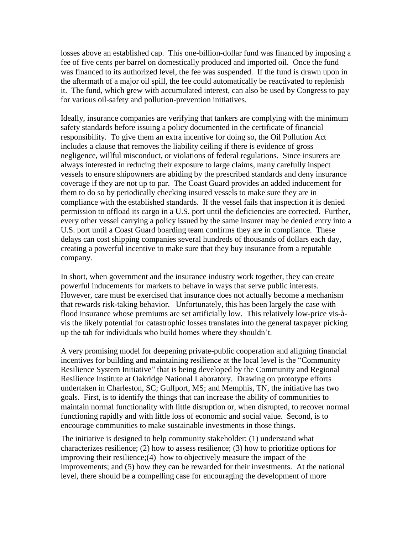losses above an established cap. This one-billion-dollar fund was financed by imposing a fee of five cents per barrel on domestically produced and imported oil. Once the fund was financed to its authorized level, the fee was suspended. If the fund is drawn upon in the aftermath of a major oil spill, the fee could automatically be reactivated to replenish it. The fund, which grew with accumulated interest, can also be used by Congress to pay for various oil-safety and pollution-prevention initiatives.

Ideally, insurance companies are verifying that tankers are complying with the minimum safety standards before issuing a policy documented in the certificate of financial responsibility. To give them an extra incentive for doing so, the Oil Pollution Act includes a clause that removes the liability ceiling if there is evidence of gross negligence, willful misconduct, or violations of federal regulations. Since insurers are always interested in reducing their exposure to large claims, many carefully inspect vessels to ensure shipowners are abiding by the prescribed standards and deny insurance coverage if they are not up to par. The Coast Guard provides an added inducement for them to do so by periodically checking insured vessels to make sure they are in compliance with the established standards. If the vessel fails that inspection it is denied permission to offload its cargo in a U.S. port until the deficiencies are corrected. Further, every other vessel carrying a policy issued by the same insurer may be denied entry into a U.S. port until a Coast Guard boarding team confirms they are in compliance. These delays can cost shipping companies several hundreds of thousands of dollars each day, creating a powerful incentive to make sure that they buy insurance from a reputable company.

In short, when government and the insurance industry work together, they can create powerful inducements for markets to behave in ways that serve public interests. However, care must be exercised that insurance does not actually become a mechanism that rewards risk-taking behavior. Unfortunately, this has been largely the case with flood insurance whose premiums are set artificially low. This relatively low-price vis-àvis the likely potential for catastrophic losses translates into the general taxpayer picking up the tab for individuals who build homes where they shouldn't.

A very promising model for deepening private-public cooperation and aligning financial incentives for building and maintaining resilience at the local level is the "Community" Resilience System Initiative" that is being developed by the Community and Regional Resilience Institute at Oakridge National Laboratory. Drawing on prototype efforts undertaken in Charleston, SC; Gulfport, MS; and Memphis, TN, the initiative has two goals. First, is to identify the things that can increase the ability of communities to maintain normal functionality with little disruption or, when disrupted, to recover normal functioning rapidly and with little loss of economic and social value. Second, is to encourage communities to make sustainable investments in those things.

The initiative is designed to help community stakeholder: (1) understand what characterizes resilience; (2) how to assess resilience; (3) how to prioritize options for improving their resilience;(4) how to objectively measure the impact of the improvements; and (5) how they can be rewarded for their investments. At the national level, there should be a compelling case for encouraging the development of more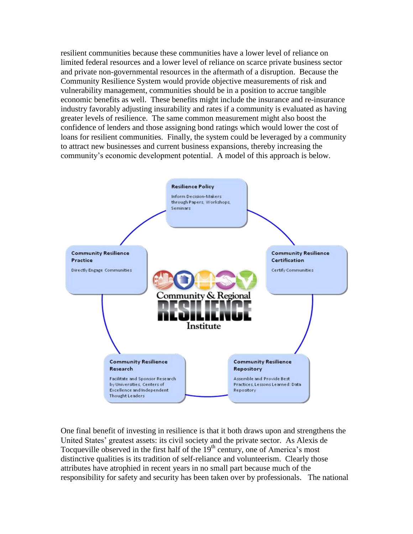resilient communities because these communities have a lower level of reliance on limited federal resources and a lower level of reliance on scarce private business sector and private non-governmental resources in the aftermath of a disruption. Because the Community Resilience System would provide objective measurements of risk and vulnerability management, communities should be in a position to accrue tangible economic benefits as well. These benefits might include the insurance and re-insurance industry favorably adjusting insurability and rates if a community is evaluated as having greater levels of resilience. The same common measurement might also boost the confidence of lenders and those assigning bond ratings which would lower the cost of loans for resilient communities. Finally, the system could be leveraged by a community to attract new businesses and current business expansions, thereby increasing the community's economic development potential. A model of this approach is below.



One final benefit of investing in resilience is that it both draws upon and strengthens the United States' greatest assets: its civil society and the private sector. As Alexis de Tocqueville observed in the first half of the  $19<sup>th</sup>$  century, one of America's most distinctive qualities is its tradition of self-reliance and volunteerism. Clearly those attributes have atrophied in recent years in no small part because much of the responsibility for safety and security has been taken over by professionals. The national